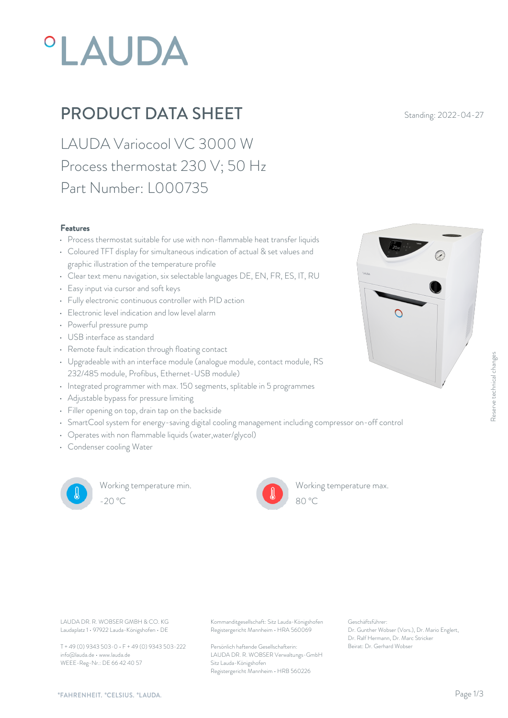# **°LAUDA**

### **PRODUCT DATA SHEET** Standing: 2022-04-27

LAUDA Variocool VC 3000 W Process thermostat 230 V; 50 Hz Part Number: L000735

#### Features

- Process thermostat suitable for use with non-flammable heat transfer liquids
- Coloured TFT display for simultaneous indication of actual & set values and graphic illustration of the temperature profile
- Clear text menu navigation, six selectable languages DE, EN, FR, ES, IT, RU
- Easy input via cursor and soft keys
- Fully electronic continuous controller with PID action
- Electronic level indication and low level alarm  $\Box$
- Powerful pressure pump
- USB interface as standard
- Remote fault indication through floating contact
- Upgradeable with an interface module (analogue module, contact module, RS 232/485 module, Profibus, Ethernet-USB module)
- Integrated programmer with max. 150 segments, splitable in 5 programmes
- Adjustable bypass for pressure limiting
- Filler opening on top, drain tap on the backside
- SmartCool system for energy-saving digital cooling management including compressor on-off control

LAUDA DR. R. WOBSER GMBH & CO. KG Kommanditgesellschaft: Sitz Lauda-Königshofen Geschäftsführer:

Sitz Lauda-Königshofen

Registergericht Mannheim • HRA 560069

Registergericht Mannheim • HRB 560226

LAUDA DR. R. WOBSER Verwaltungs-GmbH

Persönlich haftende Gesellschafterin: Beirat: Dr. Gerhard Wobse

- Operates with non flammable liquids (water,water/glycol)
- Condenser cooling Water



Working temperature min. -20 °C 80 °C

Working temperature max.

Geschäftsführer:

Dr. Gunther Wobser (Vors.), Dr. Mario Englert, Dr. Ralf Hermann, Dr. Marc Stricker

80 °C



info@lauda.de • www.lauda.de WEEE-Reg-Nr.: DE 66 42 40 57

Laudaplatz 1 • 97922 Lauda-Königshofen • DE

T + 49 (0) 9343 503-0 • F + 49 (0) 9343 503-222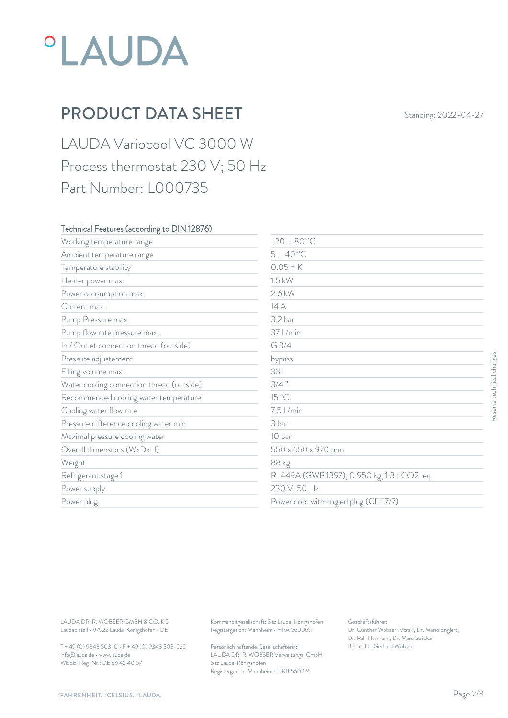## *°LAUDA*

## PRODUCT DATA SHEET Standing: 2022-04-27

LAUDA Variocool VC 3000 W Process thermostat 230 V; 50 Hz Part Number: L000735

#### Technical Features (according to DIN 12876)

| $0.05 \pm K$<br>Temperature stability<br>$1.5$ kW<br>Heater power max.<br>2.6 kW<br>Power consumption max.<br>14 A<br>Current max.<br>3.2 bar<br>Pump Pressure max.<br>37 L/min<br>Pump flow rate pressure max.<br>G 3/4<br>In / Outlet connection thread (outside)<br>Pressure adjustement<br>bypass<br>33 L<br>Filling volume max.<br>$3/4$ "<br>Water cooling connection thread (outside)<br>15 °C<br>Recommended cooling water temperature<br>7.5 L/min<br>Cooling water flow rate<br>Pressure difference cooling water min.<br>3 bar<br>10 bar<br>Maximal pressure cooling water<br>Overall dimensions (WxDxH)<br>550 x 650 x 970 mm<br>88 kg<br>Weight<br>R-449A (GWP 1397); 0.950 kg; 1.3 t CO2-eq<br>Refrigerant stage 1<br>230 V; 50 Hz<br>Power supply<br>Power cord with angled plug (CEE7/7)<br>Power plug<br>LAUDA DR. R. WOBSER GMBH & CO. KG<br>Geschäftsführer: | Working temperature range | $-2080 °C$                                    |  |                           |
|---------------------------------------------------------------------------------------------------------------------------------------------------------------------------------------------------------------------------------------------------------------------------------------------------------------------------------------------------------------------------------------------------------------------------------------------------------------------------------------------------------------------------------------------------------------------------------------------------------------------------------------------------------------------------------------------------------------------------------------------------------------------------------------------------------------------------------------------------------------------------------|---------------------------|-----------------------------------------------|--|---------------------------|
|                                                                                                                                                                                                                                                                                                                                                                                                                                                                                                                                                                                                                                                                                                                                                                                                                                                                                 | Ambient temperature range | 540 °C                                        |  |                           |
|                                                                                                                                                                                                                                                                                                                                                                                                                                                                                                                                                                                                                                                                                                                                                                                                                                                                                 |                           |                                               |  |                           |
|                                                                                                                                                                                                                                                                                                                                                                                                                                                                                                                                                                                                                                                                                                                                                                                                                                                                                 |                           |                                               |  |                           |
|                                                                                                                                                                                                                                                                                                                                                                                                                                                                                                                                                                                                                                                                                                                                                                                                                                                                                 |                           |                                               |  |                           |
|                                                                                                                                                                                                                                                                                                                                                                                                                                                                                                                                                                                                                                                                                                                                                                                                                                                                                 |                           |                                               |  |                           |
|                                                                                                                                                                                                                                                                                                                                                                                                                                                                                                                                                                                                                                                                                                                                                                                                                                                                                 |                           |                                               |  |                           |
|                                                                                                                                                                                                                                                                                                                                                                                                                                                                                                                                                                                                                                                                                                                                                                                                                                                                                 |                           |                                               |  |                           |
|                                                                                                                                                                                                                                                                                                                                                                                                                                                                                                                                                                                                                                                                                                                                                                                                                                                                                 |                           |                                               |  |                           |
|                                                                                                                                                                                                                                                                                                                                                                                                                                                                                                                                                                                                                                                                                                                                                                                                                                                                                 |                           |                                               |  | Reserve technical changes |
|                                                                                                                                                                                                                                                                                                                                                                                                                                                                                                                                                                                                                                                                                                                                                                                                                                                                                 |                           |                                               |  |                           |
|                                                                                                                                                                                                                                                                                                                                                                                                                                                                                                                                                                                                                                                                                                                                                                                                                                                                                 |                           |                                               |  |                           |
|                                                                                                                                                                                                                                                                                                                                                                                                                                                                                                                                                                                                                                                                                                                                                                                                                                                                                 |                           |                                               |  |                           |
|                                                                                                                                                                                                                                                                                                                                                                                                                                                                                                                                                                                                                                                                                                                                                                                                                                                                                 |                           |                                               |  |                           |
|                                                                                                                                                                                                                                                                                                                                                                                                                                                                                                                                                                                                                                                                                                                                                                                                                                                                                 |                           |                                               |  |                           |
|                                                                                                                                                                                                                                                                                                                                                                                                                                                                                                                                                                                                                                                                                                                                                                                                                                                                                 |                           |                                               |  |                           |
|                                                                                                                                                                                                                                                                                                                                                                                                                                                                                                                                                                                                                                                                                                                                                                                                                                                                                 |                           |                                               |  |                           |
|                                                                                                                                                                                                                                                                                                                                                                                                                                                                                                                                                                                                                                                                                                                                                                                                                                                                                 |                           |                                               |  |                           |
|                                                                                                                                                                                                                                                                                                                                                                                                                                                                                                                                                                                                                                                                                                                                                                                                                                                                                 |                           |                                               |  |                           |
|                                                                                                                                                                                                                                                                                                                                                                                                                                                                                                                                                                                                                                                                                                                                                                                                                                                                                 |                           |                                               |  |                           |
|                                                                                                                                                                                                                                                                                                                                                                                                                                                                                                                                                                                                                                                                                                                                                                                                                                                                                 |                           |                                               |  |                           |
|                                                                                                                                                                                                                                                                                                                                                                                                                                                                                                                                                                                                                                                                                                                                                                                                                                                                                 |                           |                                               |  |                           |
| Laudaplatz 1 · 97922 Lauda-Königshofen · DE<br>Registergericht Mannheim · HRA 560069<br>Dr. Gunther Wobser (Vors.), Dr. Mario Englert,<br>Dr. Ralf Hermann, Dr. Marc Stricker<br>T + 49 (0) 9343 503-0 · F + 49 (0) 9343 503-222<br>Beirat: Dr. Gerhard Wobser<br>Persönlich haftende Gesellschafterin:                                                                                                                                                                                                                                                                                                                                                                                                                                                                                                                                                                         |                           | Kommanditgesellschaft: Sitz Lauda-Königshofen |  |                           |

T + 49 (0) 9343 503-0 • F + 49 (0) 9343 503-222 info@lauda.de • www.lauda.de WEEE-Reg-Nr.: DE 66 42 40 57

> Persönlich haftende Gesellschafterin: Beirat: Dr. Gerhard Wobser LAUDA DR. R. WOBSER Verwaltungs-GmbH Sitz Lauda-Königshofen Registergericht Mannheim • HRB 560226